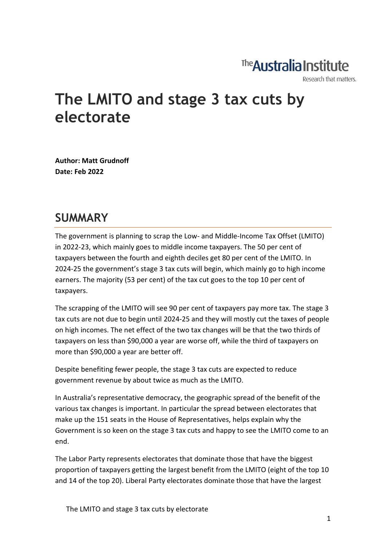# The **Australia Institute**

Research that matters.

# **The LMITO and stage 3 tax cuts by electorate**

**Author: Matt Grudnoff Date: Feb 2022**

#### **SUMMARY**

The government is planning to scrap the Low- and Middle-Income Tax Offset (LMITO) in 2022-23, which mainly goes to middle income taxpayers. The 50 per cent of taxpayers between the fourth and eighth deciles get 80 per cent of the LMITO. In 2024-25 the government's stage 3 tax cuts will begin, which mainly go to high income earners. The majority (53 per cent) of the tax cut goes to the top 10 per cent of taxpayers.

The scrapping of the LMITO will see 90 per cent of taxpayers pay more tax. The stage 3 tax cuts are not due to begin until 2024-25 and they will mostly cut the taxes of people on high incomes. The net effect of the two tax changes will be that the two thirds of taxpayers on less than \$90,000 a year are worse off, while the third of taxpayers on more than \$90,000 a year are better off.

Despite benefiting fewer people, the stage 3 tax cuts are expected to reduce government revenue by about twice as much as the LMITO.

In Australia's representative democracy, the geographic spread of the benefit of the various tax changes is important. In particular the spread between electorates that make up the 151 seats in the House of Representatives, helps explain why the Government is so keen on the stage 3 tax cuts and happy to see the LMITO come to an end.

The Labor Party represents electorates that dominate those that have the biggest proportion of taxpayers getting the largest benefit from the LMITO (eight of the top 10 and 14 of the top 20). Liberal Party electorates dominate those that have the largest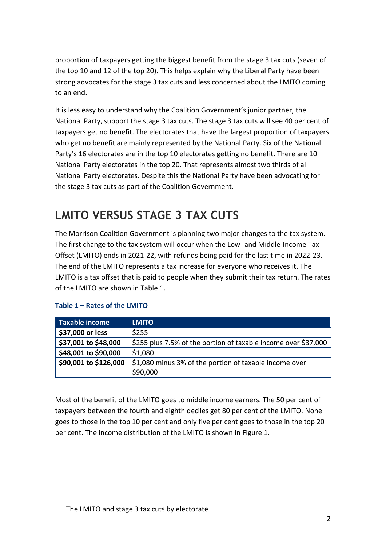proportion of taxpayers getting the biggest benefit from the stage 3 tax cuts (seven of the top 10 and 12 of the top 20). This helps explain why the Liberal Party have been strong advocates for the stage 3 tax cuts and less concerned about the LMITO coming to an end.

It is less easy to understand why the Coalition Government's junior partner, the National Party, support the stage 3 tax cuts. The stage 3 tax cuts will see 40 per cent of taxpayers get no benefit. The electorates that have the largest proportion of taxpayers who get no benefit are mainly represented by the National Party. Six of the National Party's 16 electorates are in the top 10 electorates getting no benefit. There are 10 National Party electorates in the top 20. That represents almost two thirds of all National Party electorates. Despite this the National Party have been advocating for the stage 3 tax cuts as part of the Coalition Government.

### **LMITO VERSUS STAGE 3 TAX CUTS**

The Morrison Coalition Government is planning two major changes to the tax system. The first change to the tax system will occur when the Low- and Middle-Income Tax Offset (LMITO) ends in 2021-22, with refunds being paid for the last time in 2022-23. The end of the LMITO represents a tax increase for everyone who receives it. The LMITO is a tax offset that is paid to people when they submit their tax return. The rates of the LMITO are shown in Table 1.

| <b>Taxable income</b> | <b>LMITO</b>                                                   |
|-----------------------|----------------------------------------------------------------|
| \$37,000 or less      | \$255                                                          |
| \$37,001 to \$48,000  | \$255 plus 7.5% of the portion of taxable income over \$37,000 |
| \$48,001 to \$90,000  | \$1,080                                                        |
| \$90,001 to \$126,000 | \$1,080 minus 3% of the portion of taxable income over         |
|                       | \$90,000                                                       |

#### **Table 1 – Rates of the LMITO**

Most of the benefit of the LMITO goes to middle income earners. The 50 per cent of taxpayers between the fourth and eighth deciles get 80 per cent of the LMITO. None goes to those in the top 10 per cent and only five per cent goes to those in the top 20 per cent. The income distribution of the LMITO is shown in Figure 1.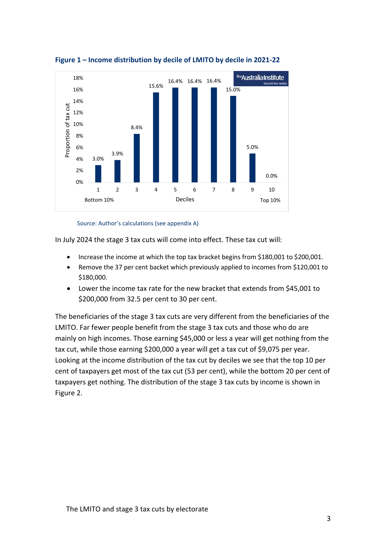

#### **Figure 1 – Income distribution by decile of LMITO by decile in 2021-22**

Source: Author's calculations (see appendix A)

In July 2024 the stage 3 tax cuts will come into effect. These tax cut will:

- Increase the income at which the top tax bracket begins from \$180,001 to \$200,001.
- Remove the 37 per cent backet which previously applied to incomes from \$120,001 to \$180,000.
- Lower the income tax rate for the new bracket that extends from \$45,001 to \$200,000 from 32.5 per cent to 30 per cent.

The beneficiaries of the stage 3 tax cuts are very different from the beneficiaries of the LMITO. Far fewer people benefit from the stage 3 tax cuts and those who do are mainly on high incomes. Those earning \$45,000 or less a year will get nothing from the tax cut, while those earning \$200,000 a year will get a tax cut of \$9,075 per year. Looking at the income distribution of the tax cut by deciles we see that the top 10 per cent of taxpayers get most of the tax cut (53 per cent), while the bottom 20 per cent of taxpayers get nothing. The distribution of the stage 3 tax cuts by income is shown in Figure 2.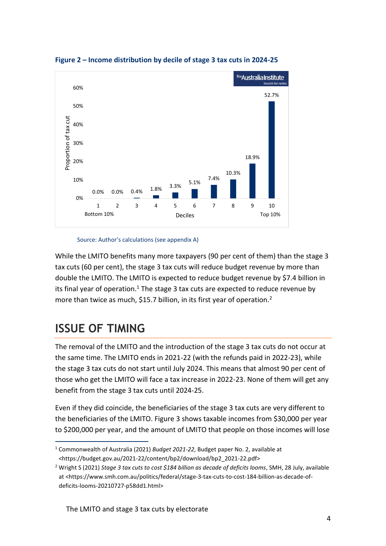

**Figure 2 – Income distribution by decile of stage 3 tax cuts in 2024-25**

Source: Author's calculations (see appendix A)

While the LMITO benefits many more taxpayers (90 per cent of them) than the stage 3 tax cuts (60 per cent), the stage 3 tax cuts will reduce budget revenue by more than double the LMITO. The LMITO is expected to reduce budget revenue by \$7.4 billion in its final year of operation.<sup>1</sup> The stage 3 tax cuts are expected to reduce revenue by more than twice as much, \$15.7 billion, in its first year of operation.<sup>2</sup>

### **ISSUE OF TIMING**

The removal of the LMITO and the introduction of the stage 3 tax cuts do not occur at the same time. The LMITO ends in 2021-22 (with the refunds paid in 2022-23), while the stage 3 tax cuts do not start until July 2024. This means that almost 90 per cent of those who get the LMITO will face a tax increase in 2022-23. None of them will get any benefit from the stage 3 tax cuts until 2024-25.

Even if they did coincide, the beneficiaries of the stage 3 tax cuts are very different to the beneficiaries of the LMITO. Figure 3 shows taxable incomes from \$30,000 per year to \$200,000 per year, and the amount of LMITO that people on those incomes will lose

<sup>1</sup> Commonwealth of Australia (2021) *Budget 2021-22*, Budget paper No. 2, available at <https://budget.gov.au/2021-22/content/bp2/download/bp2\_2021-22.pdf>

<sup>2</sup> Wright S (2021) *Stage 3 tax cuts to cost \$184 billion as decade of deficits looms*, SMH, 28 July, available at <https://www.smh.com.au/politics/federal/stage-3-tax-cuts-to-cost-184-billion-as-decade-ofdeficits-looms-20210727-p58dd1.html>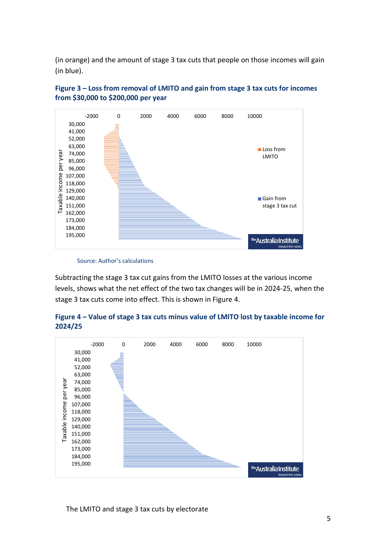(in orange) and the amount of stage 3 tax cuts that people on those incomes will gain (in blue).





Source: Author's calculations

Subtracting the stage 3 tax cut gains from the LMITO losses at the various income levels, shows what the net effect of the two tax changes will be in 2024-25, when the stage 3 tax cuts come into effect. This is shown in Figure 4.





The LMITO and stage 3 tax cuts by electorate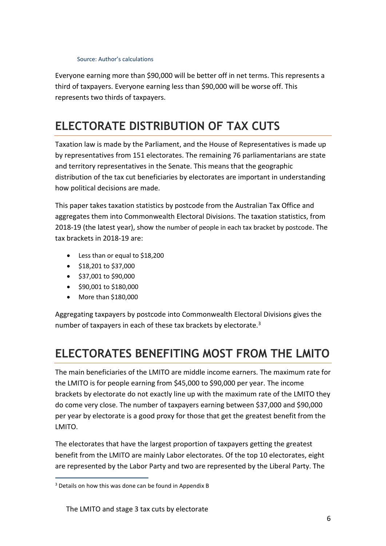#### Source: Author's calculations

Everyone earning more than \$90,000 will be better off in net terms. This represents a third of taxpayers. Everyone earning less than \$90,000 will be worse off. This represents two thirds of taxpayers.

### **ELECTORATE DISTRIBUTION OF TAX CUTS**

Taxation law is made by the Parliament, and the House of Representatives is made up by representatives from 151 electorates. The remaining 76 parliamentarians are state and territory representatives in the Senate. This means that the geographic distribution of the tax cut beneficiaries by electorates are important in understanding how political decisions are made.

This paper takes taxation statistics by postcode from the Australian Tax Office and aggregates them into Commonwealth Electoral Divisions. The taxation statistics, from 2018-19 (the latest year), show the number of people in each tax bracket by postcode. The tax brackets in 2018-19 are:

- Less than or equal to \$18,200
- \$18,201 to \$37,000
- \$37,001 to \$90,000
- \$90,001 to \$180,000
- More than \$180,000

Aggregating taxpayers by postcode into Commonwealth Electoral Divisions gives the number of taxpayers in each of these tax brackets by electorate.<sup>3</sup>

### **ELECTORATES BENEFITING MOST FROM THE LMITO**

The main beneficiaries of the LMITO are middle income earners. The maximum rate for the LMITO is for people earning from \$45,000 to \$90,000 per year. The income brackets by electorate do not exactly line up with the maximum rate of the LMITO they do come very close. The number of taxpayers earning between \$37,000 and \$90,000 per year by electorate is a good proxy for those that get the greatest benefit from the LMITO.

The electorates that have the largest proportion of taxpayers getting the greatest benefit from the LMITO are mainly Labor electorates. Of the top 10 electorates, eight are represented by the Labor Party and two are represented by the Liberal Party. The

<sup>&</sup>lt;sup>3</sup> Details on how this was done can be found in Appendix B

The LMITO and stage 3 tax cuts by electorate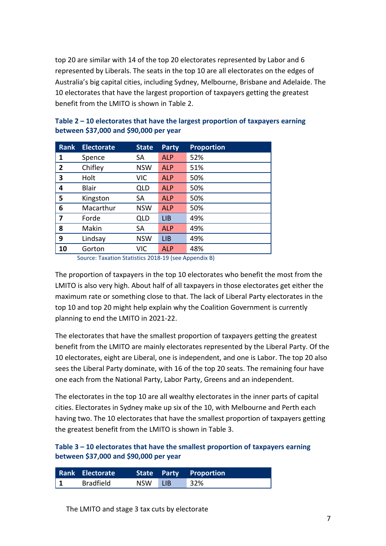top 20 are similar with 14 of the top 20 electorates represented by Labor and 6 represented by Liberals. The seats in the top 10 are all electorates on the edges of Australia's big capital cities, including Sydney, Melbourne, Brisbane and Adelaide. The 10 electorates that have the largest proportion of taxpayers getting the greatest benefit from the LMITO is shown in Table 2.

| <b>Rank</b>  | <b>Electorate</b> | <b>State</b> | <b>Party</b> | <b>Proportion</b> |
|--------------|-------------------|--------------|--------------|-------------------|
| 1            | Spence            | SA           | <b>ALP</b>   | 52%               |
| $\mathbf{2}$ | Chifley           | <b>NSW</b>   | <b>ALP</b>   | 51%               |
| 3            | Holt              | VIC          | <b>ALP</b>   | 50%               |
| 4            | <b>Blair</b>      | <b>QLD</b>   | <b>ALP</b>   | 50%               |
| 5            | Kingston          | <b>SA</b>    | <b>ALP</b>   | 50%               |
| 6            | Macarthur         | <b>NSW</b>   | <b>ALP</b>   | 50%               |
| 7            | Forde             | <b>QLD</b>   | <b>LIB</b>   | 49%               |
| 8            | Makin             | SA           | <b>ALP</b>   | 49%               |
| 9            | Lindsay           | <b>NSW</b>   | <b>LIB</b>   | 49%               |
| 10           | Gorton            | VIC          | <b>ALP</b>   | 48%               |

| Table $2 - 10$ electorates that have the largest proportion of taxpayers earning |  |
|----------------------------------------------------------------------------------|--|
| between \$37,000 and \$90,000 per year                                           |  |

Source: Taxation Statistics 2018-19 (see Appendix B)

The proportion of taxpayers in the top 10 electorates who benefit the most from the LMITO is also very high. About half of all taxpayers in those electorates get either the maximum rate or something close to that. The lack of Liberal Party electorates in the top 10 and top 20 might help explain why the Coalition Government is currently planning to end the LMITO in 2021-22.

The electorates that have the smallest proportion of taxpayers getting the greatest benefit from the LMITO are mainly electorates represented by the Liberal Party. Of the 10 electorates, eight are Liberal, one is independent, and one is Labor. The top 20 also sees the Liberal Party dominate, with 16 of the top 20 seats. The remaining four have one each from the National Party, Labor Party, Greens and an independent.

The electorates in the top 10 are all wealthy electorates in the inner parts of capital cities. Electorates in Sydney make up six of the 10, with Melbourne and Perth each having two. The 10 electorates that have the smallest proportion of taxpayers getting the greatest benefit from the LMITO is shown in Table 3.

#### **Table 3 – 10 electorates that have the smallest proportion of taxpayers earning between \$37,000 and \$90,000 per year**

| Rank Electorate  |         | State Party Proportion |
|------------------|---------|------------------------|
| <b>Bradfield</b> | NSW LIB | 32%                    |

The LMITO and stage 3 tax cuts by electorate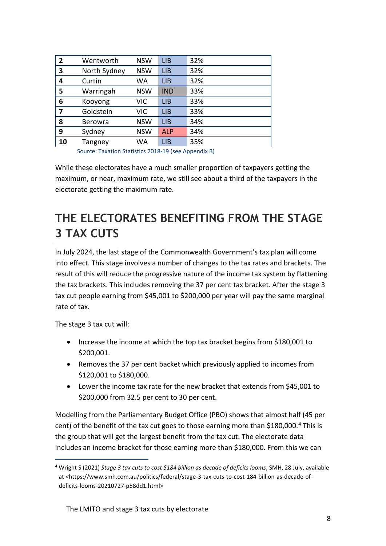| $\overline{2}$ | Wentworth      | <b>NSW</b> | LIB        | 32% |
|----------------|----------------|------------|------------|-----|
| 3              | North Sydney   | <b>NSW</b> | <b>LIB</b> | 32% |
| 4              | Curtin         | WA         | LIB        | 32% |
| 5              | Warringah      | <b>NSW</b> | <b>IND</b> | 33% |
| 6              | Kooyong        | VIC        | LIB        | 33% |
| 7              | Goldstein      | <b>VIC</b> | LIB        | 33% |
| 8              | <b>Berowra</b> | <b>NSW</b> | LIB        | 34% |
| 9              | Sydney         | <b>NSW</b> | <b>ALP</b> | 34% |
| 10             | Tangney        | WA         | <b>LIB</b> | 35% |

Source: Taxation Statistics 2018-19 (see Appendix B)

While these electorates have a much smaller proportion of taxpayers getting the maximum, or near, maximum rate, we still see about a third of the taxpayers in the electorate getting the maximum rate.

### **THE ELECTORATES BENEFITING FROM THE STAGE 3 TAX CUTS**

In July 2024, the last stage of the Commonwealth Government's tax plan will come into effect. This stage involves a number of changes to the tax rates and brackets. The result of this will reduce the progressive nature of the income tax system by flattening the tax brackets. This includes removing the 37 per cent tax bracket. After the stage 3 tax cut people earning from \$45,001 to \$200,000 per year will pay the same marginal rate of tax.

The stage 3 tax cut will:

- Increase the income at which the top tax bracket begins from \$180,001 to \$200,001.
- Removes the 37 per cent backet which previously applied to incomes from \$120,001 to \$180,000.
- Lower the income tax rate for the new bracket that extends from \$45,001 to \$200,000 from 32.5 per cent to 30 per cent.

Modelling from the Parliamentary Budget Office (PBO) shows that almost half (45 per cent) of the benefit of the tax cut goes to those earning more than  $$180,000.^4$  This is the group that will get the largest benefit from the tax cut. The electorate data includes an income bracket for those earning more than \$180,000. From this we can

<sup>4</sup> Wright S (2021) *Stage 3 tax cuts to cost \$184 billion as decade of deficits looms*, SMH, 28 July, available at <https://www.smh.com.au/politics/federal/stage-3-tax-cuts-to-cost-184-billion-as-decade-ofdeficits-looms-20210727-p58dd1.html>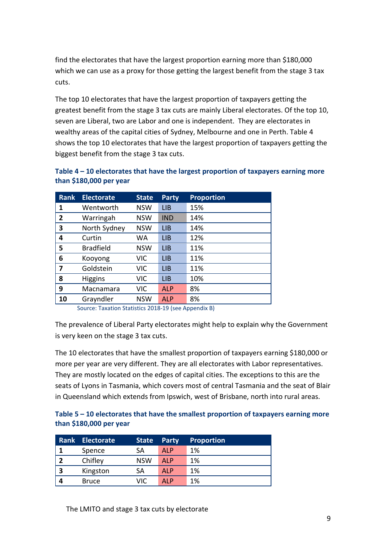find the electorates that have the largest proportion earning more than \$180,000 which we can use as a proxy for those getting the largest benefit from the stage 3 tax cuts.

The top 10 electorates that have the largest proportion of taxpayers getting the greatest benefit from the stage 3 tax cuts are mainly Liberal electorates. Of the top 10, seven are Liberal, two are Labor and one is independent. They are electorates in wealthy areas of the capital cities of Sydney, Melbourne and one in Perth. Table 4 shows the top 10 electorates that have the largest proportion of taxpayers getting the biggest benefit from the stage 3 tax cuts.

| <b>Rank</b>  | <b>Electorate</b> | <b>State</b> | <b>Party</b> | <b>Proportion</b> |
|--------------|-------------------|--------------|--------------|-------------------|
| 1            | Wentworth         | <b>NSW</b>   | <b>LIB</b>   | 15%               |
| $\mathbf{2}$ | Warringah         | <b>NSW</b>   | <b>IND</b>   | 14%               |
| 3            | North Sydney      | <b>NSW</b>   | <b>LIB</b>   | 14%               |
| 4            | Curtin            | WA           | <b>LIB</b>   | 12%               |
| 5            | <b>Bradfield</b>  | <b>NSW</b>   | LIB          | 11%               |
| 6            | Kooyong           | <b>VIC</b>   | <b>LIB</b>   | 11%               |
| 7            | Goldstein         | <b>VIC</b>   | LIB          | 11%               |
| 8            | <b>Higgins</b>    | <b>VIC</b>   | <b>LIB</b>   | 10%               |
| 9            | Macnamara         | <b>VIC</b>   | <b>ALP</b>   | 8%                |
| 10           | Grayndler         | <b>NSW</b>   | <b>ALP</b>   | 8%                |

**Table 4 – 10 electorates that have the largest proportion of taxpayers earning more than \$180,000 per year**

Source: Taxation Statistics 2018-19 (see Appendix B)

The prevalence of Liberal Party electorates might help to explain why the Government is very keen on the stage 3 tax cuts.

The 10 electorates that have the smallest proportion of taxpayers earning \$180,000 or more per year are very different. They are all electorates with Labor representatives. They are mostly located on the edges of capital cities. The exceptions to this are the seats of Lyons in Tasmania, which covers most of central Tasmania and the seat of Blair in Queensland which extends from Ipswich, west of Brisbane, north into rural areas.

#### **Table 5 – 10 electorates that have the smallest proportion of taxpayers earning more than \$180,000 per year**

|   | Rank Electorate | <b>State</b> | Party      | <b>Proportion</b> |
|---|-----------------|--------------|------------|-------------------|
|   | Spence          | SA           | <b>ALP</b> | 1%                |
|   | Chifley         | <b>NSW</b>   | <b>ALP</b> | 1%                |
| 3 | Kingston        | SA           | <b>ALP</b> | 1%                |
|   | <b>Bruce</b>    | VIC          | AI P       | 1%                |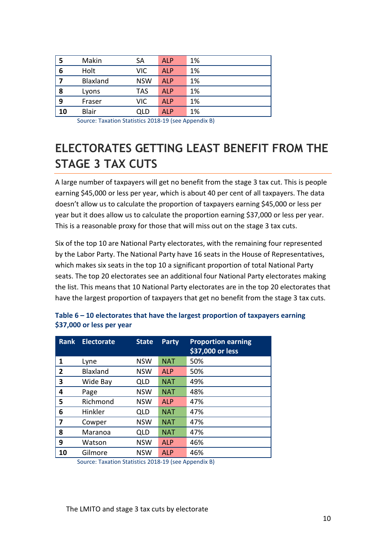|    | Makin        | SА         | <b>ALP</b> | 1% |
|----|--------------|------------|------------|----|
| 6  | Holt         | <b>VIC</b> | <b>ALP</b> | 1% |
|    | Blaxland     | <b>NSW</b> | <b>ALP</b> | 1% |
| 8  | Lyons        | <b>TAS</b> | <b>ALP</b> | 1% |
| 9  | Fraser       | <b>VIC</b> | <b>ALP</b> | 1% |
| 10 | <b>Blair</b> | QLD        | ALP        | 1% |

Source: Taxation Statistics 2018-19 (see Appendix B)

### **ELECTORATES GETTING LEAST BENEFIT FROM THE STAGE 3 TAX CUTS**

A large number of taxpayers will get no benefit from the stage 3 tax cut. This is people earning \$45,000 or less per year, which is about 40 per cent of all taxpayers. The data doesn't allow us to calculate the proportion of taxpayers earning \$45,000 or less per year but it does allow us to calculate the proportion earning \$37,000 or less per year. This is a reasonable proxy for those that will miss out on the stage 3 tax cuts.

Six of the top 10 are National Party electorates, with the remaining four represented by the Labor Party. The National Party have 16 seats in the House of Representatives, which makes six seats in the top 10 a significant proportion of total National Party seats. The top 20 electorates see an additional four National Party electorates making the list. This means that 10 National Party electorates are in the top 20 electorates that have the largest proportion of taxpayers that get no benefit from the stage 3 tax cuts.

| <b>Rank</b> | <b>Electorate</b> | <b>State</b> | <b>Party</b> | <b>Proportion earning</b><br>\$37,000 or less |
|-------------|-------------------|--------------|--------------|-----------------------------------------------|
| 1           | Lyne              | <b>NSW</b>   | <b>NAT</b>   | 50%                                           |
| 2           | <b>Blaxland</b>   | <b>NSW</b>   | <b>ALP</b>   | 50%                                           |
| 3           | Wide Bay          | QLD          | <b>NAT</b>   | 49%                                           |
| 4           | Page              | <b>NSW</b>   | <b>NAT</b>   | 48%                                           |
| 5           | Richmond          | <b>NSW</b>   | <b>ALP</b>   | 47%                                           |
| 6           | Hinkler           | QLD          | <b>NAT</b>   | 47%                                           |
| 7           | Cowper            | <b>NSW</b>   | <b>NAT</b>   | 47%                                           |
| 8           | Maranoa           | QLD          | <b>NAT</b>   | 47%                                           |
| 9           | Watson            | <b>NSW</b>   | <b>ALP</b>   | 46%                                           |
| 10          | Gilmore           | <b>NSW</b>   | <b>ALP</b>   | 46%                                           |

#### **Table 6 – 10 electorates that have the largest proportion of taxpayers earning \$37,000 or less per year**

Source: Taxation Statistics 2018-19 (see Appendix B)